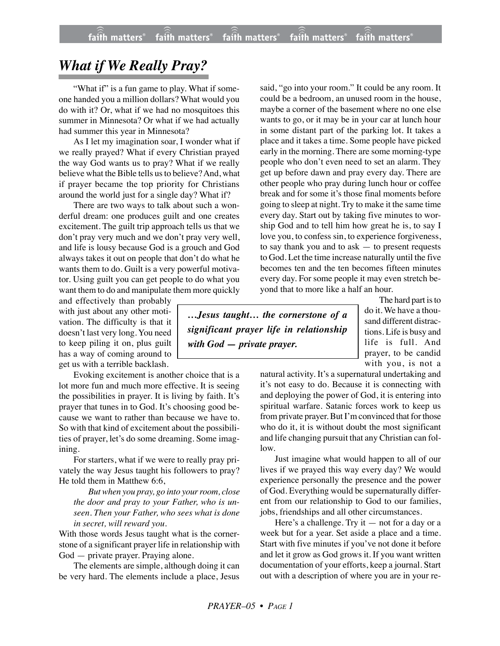## *What if We Really Pray?*

"What if" is a fun game to play. What if someone handed you a million dollars? What would you do with it? Or, what if we had no mosquitoes this summer in Minnesota? Or what if we had actually had summer this year in Minnesota?

As I let my imagination soar, I wonder what if we really prayed? What if every Christian prayed the way God wants us to pray? What if we really believe what the Bible tells us to believe?And, what if prayer became the top priority for Christians around the world just for a single day? What if?

There are two ways to talk about such a wonderful dream: one produces guilt and one creates excitement. The guilt trip approach tells us that we don't pray very much and we don't pray very well, and life is lousy because God is a grouch and God always takes it out on people that don't do what he wants them to do. Guilt is a very powerful motivator. Using guilt you can get people to do what you want them to do and manipulate them more quickly

and effectively than probably with just about any other motivation. The difficulty is that it doesn't last very long. You need to keep piling it on, plus guilt has a way of coming around to get us with a terrible backlash.

Evoking excitement is another choice that is a lot more fun and much more effective. It is seeing the possibilities in prayer. It is living by faith. It's prayer that tunes in to God. It's choosing good because we want to rather than because we have to. So with that kind of excitement about the possibilities of prayer, let's do some dreaming. Some imagining.

For starters, what if we were to really pray privately the way Jesus taught his followers to pray? He told them in Matthew 6:6,

*But when you pray, go into your room, close the door and pray to your Father, who is unseen. Then your Father, who sees what is done in secret, will reward you.*

With those words Jesus taught what is the cornerstone of a significant prayer life in relationship with God — private prayer. Praying alone.

The elements are simple, although doing it can be very hard. The elements include a place, Jesus said, "go into your room." It could be any room. It could be a bedroom, an unused room in the house, maybe a corner of the basement where no one else wants to go, or it may be in your car at lunch hour in some distant part of the parking lot. It takes a place and it takes a time. Some people have picked early in the morning. There are some morning-type people who don't even need to set an alarm. They get up before dawn and pray every day. There are other people who pray during lunch hour or coffee break and for some it's those final moments before going to sleep at night. Try to make it the same time every day. Start out by taking five minutes to worship God and to tell him how great he is, to say I love you, to confess sin, to experience forgiveness, to say thank you and to ask — to present requests to God. Let the time increase naturally until the five becomes ten and the ten becomes fifteen minutes every day. For some people it may even stretch beyond that to more like a half an hour.

*…Jesus taught… the cornerstone of a significant prayer life in relationship with God — private prayer.*

The hard part is to do it. We have a thousand different distractions. Life is busy and life is full. And prayer, to be candid with you, is not a

natural activity. It's a supernatural undertaking and it's not easy to do. Because it is connecting with and deploying the power of God, it is entering into spiritual warfare. Satanic forces work to keep us from private prayer. But I'm convinced that for those who do it, it is without doubt the most significant and life changing pursuit that any Christian can follow.

Just imagine what would happen to all of our lives if we prayed this way every day? We would experience personally the presence and the power of God. Everything would be supernaturally different from our relationship to God to our families, jobs, friendships and all other circumstances.

Here's a challenge. Try it — not for a day or a week but for a year. Set aside a place and a time. Start with five minutes if you've not done it before and let it grow as God grows it. If you want written documentation of your efforts, keep a journal. Start out with a description of where you are in your re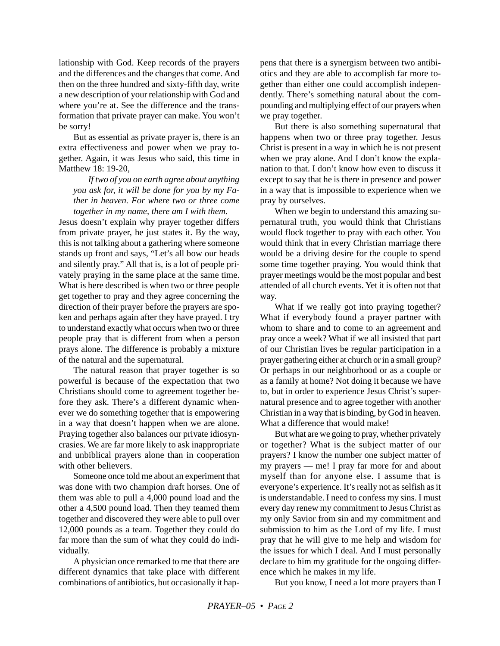lationship with God. Keep records of the prayers and the differences and the changes that come. And then on the three hundred and sixty-fifth day, write a new description of your relationship with God and where you're at. See the difference and the transformation that private prayer can make. You won't be sorry!

But as essential as private prayer is, there is an extra effectiveness and power when we pray together. Again, it was Jesus who said, this time in Matthew 18: 19-20,

*If two of you on earth agree about anything you ask for, it will be done for you by my Father in heaven. For where two or three come together in my name, there am I with them.*

Jesus doesn't explain why prayer together differs from private prayer, he just states it. By the way, this is not talking about a gathering where someone stands up front and says, "Let's all bow our heads and silently pray." All that is, is a lot of people privately praying in the same place at the same time. What is here described is when two or three people get together to pray and they agree concerning the direction of their prayer before the prayers are spoken and perhaps again after they have prayed. I try to understand exactly what occurs when two or three people pray that is different from when a person prays alone. The difference is probably a mixture of the natural and the supernatural.

The natural reason that prayer together is so powerful is because of the expectation that two Christians should come to agreement together before they ask. There's a different dynamic whenever we do something together that is empowering in a way that doesn't happen when we are alone. Praying together also balances our private idiosyncrasies. We are far more likely to ask inappropriate and unbiblical prayers alone than in cooperation with other believers.

Someone once told me about an experiment that was done with two champion draft horses. One of them was able to pull a 4,000 pound load and the other a 4,500 pound load. Then they teamed them together and discovered they were able to pull over 12,000 pounds as a team. Together they could do far more than the sum of what they could do individually.

A physician once remarked to me that there are different dynamics that take place with different combinations of antibiotics, but occasionally it happens that there is a synergism between two antibiotics and they are able to accomplish far more together than either one could accomplish independently. There's something natural about the compounding and multiplying effect of our prayers when we pray together.

But there is also something supernatural that happens when two or three pray together. Jesus Christ is present in a way in which he is not present when we pray alone. And I don't know the explanation to that. I don't know how even to discuss it except to say that he is there in presence and power in a way that is impossible to experience when we pray by ourselves.

When we begin to understand this amazing supernatural truth, you would think that Christians would flock together to pray with each other. You would think that in every Christian marriage there would be a driving desire for the couple to spend some time together praying. You would think that prayer meetings would be the most popular and best attended of all church events. Yet it is often not that way.

What if we really got into praying together? What if everybody found a prayer partner with whom to share and to come to an agreement and pray once a week? What if we all insisted that part of our Christian lives be regular participation in a prayer gathering either at church or in a small group? Or perhaps in our neighborhood or as a couple or as a family at home? Not doing it because we have to, but in order to experience Jesus Christ's supernatural presence and to agree together with another Christian in a way that is binding, by God in heaven. What a difference that would make!

But what are we going to pray, whether privately or together? What is the subject matter of our prayers? I know the number one subject matter of my prayers — me! I pray far more for and about myself than for anyone else. I assume that is everyone's experience. It's really not as selfish as it is understandable. I need to confess my sins. I must every day renew my commitment to Jesus Christ as my only Savior from sin and my commitment and submission to him as the Lord of my life. I must pray that he will give to me help and wisdom for the issues for which I deal. And I must personally declare to him my gratitude for the ongoing difference which he makes in my life.

But you know, I need a lot more prayers than I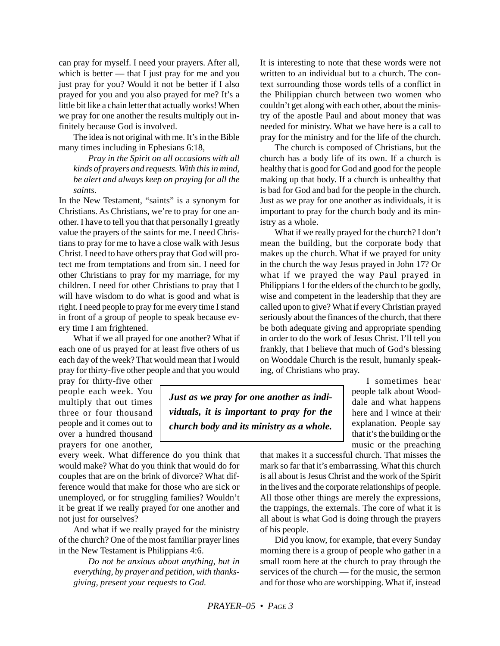can pray for myself. I need your prayers. After all, which is better — that I just pray for me and you just pray for you? Would it not be better if I also prayed for you and you also prayed for me? It's a little bit like a chain letter that actually works! When we pray for one another the results multiply out infinitely because God is involved.

The idea is not original with me. It's in the Bible many times including in Ephesians 6:18,

*Pray in the Spirit on all occasions with all kinds of prayers and requests. With this in mind, be alert and always keep on praying for all the saints.*

In the New Testament, "saints" is a synonym for Christians. As Christians, we're to pray for one another. I have to tell you that that personally I greatly value the prayers of the saints for me. I need Christians to pray for me to have a close walk with Jesus Christ. I need to have others pray that God will protect me from temptations and from sin. I need for other Christians to pray for my marriage, for my children. I need for other Christians to pray that I will have wisdom to do what is good and what is right. I need people to pray for me every time I stand in front of a group of people to speak because every time I am frightened.

What if we all prayed for one another? What if each one of us prayed for at least five others of us each day of the week? That would mean that I would pray for thirty-five other people and that you would

It is interesting to note that these words were not written to an individual but to a church. The context surrounding those words tells of a conflict in the Philippian church between two women who couldn't get along with each other, about the ministry of the apostle Paul and about money that was needed for ministry. What we have here is a call to pray for the ministry and for the life of the church.

The church is composed of Christians, but the church has a body life of its own. If a church is healthy that is good for God and good for the people making up that body. If a church is unhealthy that is bad for God and bad for the people in the church. Just as we pray for one another as individuals, it is important to pray for the church body and its ministry as a whole.

What if we really prayed for the church? I don't mean the building, but the corporate body that makes up the church. What if we prayed for unity in the church the way Jesus prayed in John 17? Or what if we prayed the way Paul prayed in Philippians 1 for the elders of the church to be godly, wise and competent in the leadership that they are called upon to give? What if every Christian prayed seriously about the finances of the church, that there be both adequate giving and appropriate spending in order to do the work of Jesus Christ. I'll tell you frankly, that I believe that much of God's blessing on Wooddale Church is the result, humanly speaking, of Christians who pray.

pray for thirty-five other people each week. You multiply that out times three or four thousand people and it comes out to over a hundred thousand prayers for one another,

*Just as we pray for one another as individuals, it is important to pray for the church body and its ministry as a whole.*

I sometimes hear people talk about Wooddale and what happens here and I wince at their explanation. People say that it's the building or the music or the preaching

every week. What difference do you think that would make? What do you think that would do for couples that are on the brink of divorce? What difference would that make for those who are sick or unemployed, or for struggling families? Wouldn't it be great if we really prayed for one another and not just for ourselves?

And what if we really prayed for the ministry of the church? One of the most familiar prayer lines in the New Testament is Philippians 4:6.

*Do not be anxious about anything, but in everything, by prayer and petition, with thanksgiving, present your requests to God.*

that makes it a successful church. That misses the mark so far that it's embarrassing. What this church is all about is Jesus Christ and the work of the Spirit in the lives and the corporate relationships of people. All those other things are merely the expressions, the trappings, the externals. The core of what it is all about is what God is doing through the prayers of his people.

Did you know, for example, that every Sunday morning there is a group of people who gather in a small room here at the church to pray through the services of the church — for the music, the sermon and for those who are worshipping. What if, instead